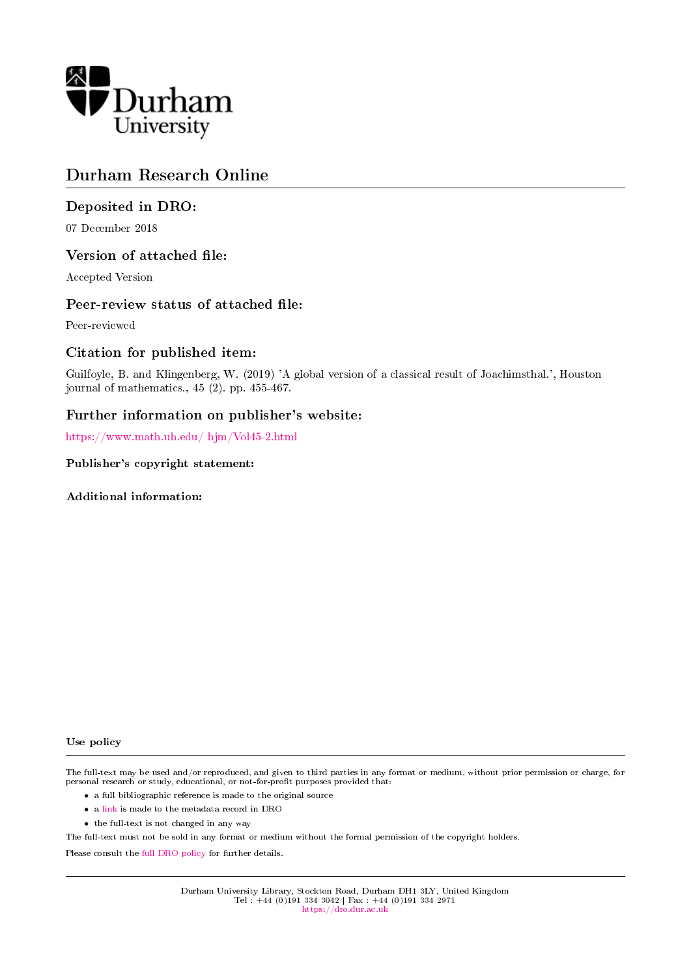

# Durham Research Online

# Deposited in DRO:

07 December 2018

## Version of attached file:

Accepted Version

### Peer-review status of attached file:

Peer-reviewed

## Citation for published item:

Guilfoyle, B. and Klingenberg, W. (2019) 'A global version of a classical result of Joachimsthal.', Houston journal of mathematics., 45 (2). pp. 455-467.

## Further information on publisher's website:

[https://www.math.uh.edu/ hjm/Vol45-2.html](https://www.math.uh.edu/~hjm/Vol45-2.html)

Publisher's copyright statement:

Additional information:

#### Use policy

The full-text may be used and/or reproduced, and given to third parties in any format or medium, without prior permission or charge, for personal research or study, educational, or not-for-profit purposes provided that:

- a full bibliographic reference is made to the original source
- a [link](http://dro.dur.ac.uk/26948/) is made to the metadata record in DRO
- the full-text is not changed in any way

The full-text must not be sold in any format or medium without the formal permission of the copyright holders.

Please consult the [full DRO policy](https://dro.dur.ac.uk/policies/usepolicy.pdf) for further details.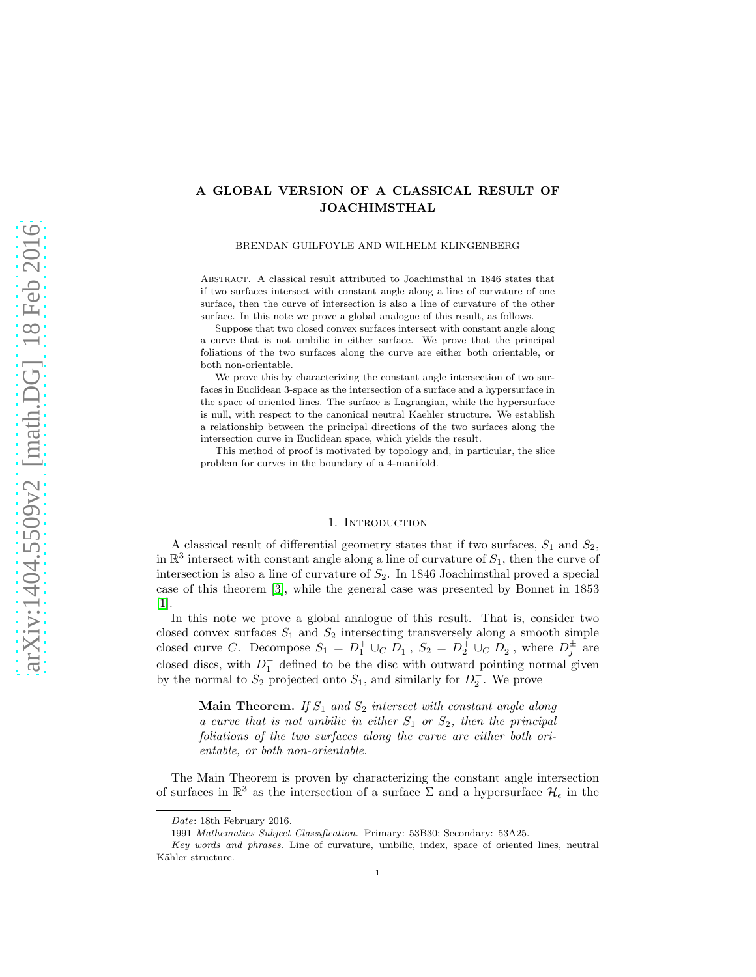### A GLOBAL VERSION OF A CLASSICAL RESULT OF JOACHIMSTHAL

#### BRENDAN GUILFOYLE AND WILHELM KLINGENBERG

Abstract. A classical result attributed to Joachimsthal in 1846 states that if two surfaces intersect with constant angle along a line of curvature of one surface, then the curve of intersection is also a line of curvature of the other surface. In this note we prove a global analogue of this result, as follows.

Suppose that two closed convex surfaces intersect with constant angle along a curve that is not umbilic in either surface. We prove that the principal foliations of the two surfaces along the curve are either both orientable, or both non-orientable.

We prove this by characterizing the constant angle intersection of two surfaces in Euclidean 3-space as the intersection of a surface and a hypersurface in the space of oriented lines. The surface is Lagrangian, while the hypersurface is null, with respect to the canonical neutral Kaehler structure. We establish a relationship between the principal directions of the two surfaces along the intersection curve in Euclidean space, which yields the result.

This method of proof is motivated by topology and, in particular, the slice problem for curves in the boundary of a 4-manifold.

#### 1. INTRODUCTION

A classical result of differential geometry states that if two surfaces,  $S_1$  and  $S_2$ , in  $\mathbb{R}^3$  intersect with constant angle along a line of curvature of  $S_1$ , then the curve of intersection is also a line of curvature of  $S_2$ . In 1846 Joachimsthal proved a special case of this theorem [\[3\]](#page-6-0), while the general case was presented by Bonnet in 1853 [\[1\]](#page-6-1).

In this note we prove a global analogue of this result. That is, consider two closed convex surfaces  $S_1$  and  $S_2$  intersecting transversely along a smooth simple closed curve C. Decompose  $S_1 = D_1^+ \cup_C D_1^ \overline{1}_1^-, S_2 = D_2^{\ddagger} \cup_C D_2^ \frac{1}{2}$ , where  $D_j^{\pm}$  $j^{\pm}$  are closed discs, with  $D_1^-$  defined to be the disc with outward pointing normal given by the normal to  $S_2$  projected onto  $S_1$ , and similarly for  $D_2$  $_2^-$ . We prove

**Main Theorem.** If  $S_1$  and  $S_2$  intersect with constant angle along a curve that is not umbilic in either  $S_1$  or  $S_2$ , then the principal foliations of the two surfaces along the curve are either both orientable, or both non-orientable.

The Main Theorem is proven by characterizing the constant angle intersection of surfaces in  $\mathbb{R}^3$  as the intersection of a surface  $\Sigma$  and a hypersurface  $\mathcal{H}_{\epsilon}$  in the

Date: 18th February 2016.

<sup>1991</sup> Mathematics Subject Classification. Primary: 53B30; Secondary: 53A25.

Key words and phrases. Line of curvature, umbilic, index, space of oriented lines, neutral Kähler structure.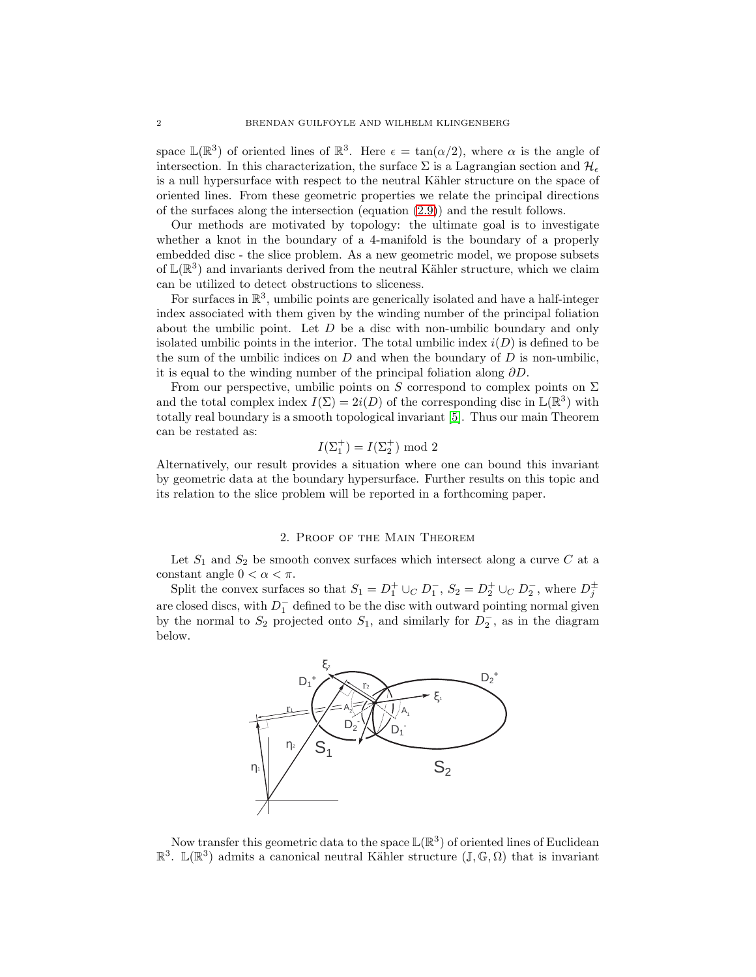space  $\mathbb{L}(\mathbb{R}^3)$  of oriented lines of  $\mathbb{R}^3$ . Here  $\epsilon = \tan(\alpha/2)$ , where  $\alpha$  is the angle of intersection. In this characterization, the surface  $\Sigma$  is a Lagrangian section and  $\mathcal{H}_{\epsilon}$ is a null hypersurface with respect to the neutral Kähler structure on the space of oriented lines. From these geometric properties we relate the principal directions of the surfaces along the intersection (equation [\(2.9\)](#page-6-2)) and the result follows.

Our methods are motivated by topology: the ultimate goal is to investigate whether a knot in the boundary of a 4-manifold is the boundary of a properly embedded disc - the slice problem. As a new geometric model, we propose subsets of  $\mathbb{L}(\mathbb{R}^3)$  and invariants derived from the neutral Kähler structure, which we claim can be utilized to detect obstructions to sliceness.

For surfaces in  $\mathbb{R}^3$ , umbilic points are generically isolated and have a half-integer index associated with them given by the winding number of the principal foliation about the umbilic point. Let D be a disc with non-umbilic boundary and only isolated umbilic points in the interior. The total umbilic index  $i(D)$  is defined to be the sum of the umbilic indices on  $D$  and when the boundary of  $D$  is non-umbilic, it is equal to the winding number of the principal foliation along  $\partial D$ .

From our perspective, umbilic points on S correspond to complex points on  $\Sigma$ and the total complex index  $I(\Sigma) = 2i(D)$  of the corresponding disc in  $\mathbb{L}(\mathbb{R}^3)$  with totally real boundary is a smooth topological invariant [\[5\]](#page-6-3). Thus our main Theorem can be restated as:

$$
I(\Sigma_1^+) = I(\Sigma_2^+) \text{ mod } 2
$$

Alternatively, our result provides a situation where one can bound this invariant by geometric data at the boundary hypersurface. Further results on this topic and its relation to the slice problem will be reported in a forthcoming paper.

#### 2. Proof of the Main Theorem

Let  $S_1$  and  $S_2$  be smooth convex surfaces which intersect along a curve  $C$  at a constant angle  $0 < \alpha < \pi$ .

Split the convex surfaces so that  $S_1 = D_1^+ \cup_C D_1^ _1^-, S_2 = D_2^+ \cup_C D_2^ _2^-$ , where  $D_j^{\pm}$ .j are closed discs, with  $D_1^-$  defined to be the disc with outward pointing normal given by the normal to  $S_2$  projected onto  $S_1$ , and similarly for  $D_2^ _2^-$ , as in the diagram below.



Now transfer this geometric data to the space  $\mathbb{L}(\mathbb{R}^3)$  of oriented lines of Euclidean  $\mathbb{R}^3$ .  $\mathbb{L}(\mathbb{R}^3)$  admits a canonical neutral Kähler structure  $(\mathbb{J}, \mathbb{G}, \Omega)$  that is invariant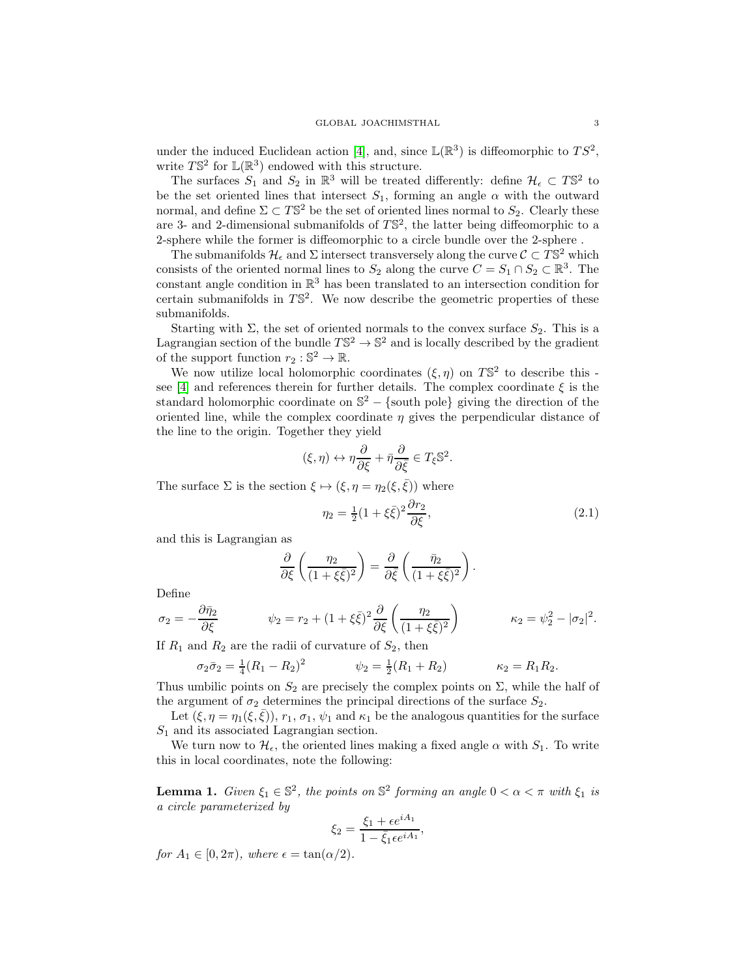under the induced Euclidean action [\[4\]](#page-6-4), and, since  $\mathbb{L}(\mathbb{R}^3)$  is diffeomorphic to  $TS^2$ , write  $T\mathbb{S}^2$  for  $\mathbb{L}(\mathbb{R}^3)$  endowed with this structure.

The surfaces  $S_1$  and  $S_2$  in  $\mathbb{R}^3$  will be treated differently: define  $\mathcal{H}_{\epsilon} \subset T\mathbb{S}^2$  to be the set oriented lines that intersect  $S_1$ , forming an angle  $\alpha$  with the outward normal, and define  $\Sigma \subset T\mathbb{S}^2$  be the set of oriented lines normal to  $S_2$ . Clearly these are 3- and 2-dimensional submanifolds of  $T\mathbb{S}^2$ , the latter being diffeomorphic to a 2-sphere while the former is diffeomorphic to a circle bundle over the 2-sphere .

The submanifolds  $\mathcal{H}_{\epsilon}$  and  $\Sigma$  intersect transversely along the curve  $\mathcal{C} \subset T\mathbb{S}^2$  which consists of the oriented normal lines to  $S_2$  along the curve  $C = S_1 \cap S_2 \subset \mathbb{R}^3$ . The constant angle condition in  $\mathbb{R}^3$  has been translated to an intersection condition for certain submanifolds in  $T\mathbb{S}^2$ . We now describe the geometric properties of these submanifolds.

Starting with  $\Sigma$ , the set of oriented normals to the convex surface  $S_2$ . This is a Lagrangian section of the bundle  $T\mathbb{S}^2 \to \mathbb{S}^2$  and is locally described by the gradient of the support function  $r_2 : \mathbb{S}^2 \to \mathbb{R}$ .

We now utilize local holomorphic coordinates  $(\xi, \eta)$  on  $T\mathbb{S}^2$  to describe this -see [\[4\]](#page-6-4) and references therein for further details. The complex coordinate  $\xi$  is the standard holomorphic coordinate on  $\mathbb{S}^2$  – {south pole} giving the direction of the oriented line, while the complex coordinate  $\eta$  gives the perpendicular distance of the line to the origin. Together they yield

$$
(\xi, \eta) \leftrightarrow \eta \frac{\partial}{\partial \xi} + \bar{\eta} \frac{\partial}{\partial \bar{\xi}} \in T_{\xi} \mathbb{S}^2.
$$

The surface  $\Sigma$  is the section  $\xi \mapsto (\xi, \eta = \eta_2(\xi, \bar{\xi}))$  where

<span id="page-3-1"></span>
$$
\eta_2 = \frac{1}{2}(1+\xi\bar{\xi})^2 \frac{\partial r_2}{\partial \xi},\tag{2.1}
$$

and this is Lagrangian as

$$
\frac{\partial}{\partial \xi} \left( \frac{\eta_2}{(1 + \xi \bar{\xi})^2} \right) = \frac{\partial}{\partial \bar{\xi}} \left( \frac{\bar{\eta}_2}{(1 + \xi \bar{\xi})^2} \right).
$$

Define

$$
\sigma_2 = -\frac{\partial \bar{\eta}_2}{\partial \xi} \qquad \qquad \psi_2 = r_2 + (1 + \xi \bar{\xi})^2 \frac{\partial}{\partial \xi} \left( \frac{\eta_2}{(1 + \xi \bar{\xi})^2} \right) \qquad \qquad \kappa_2 = \psi_2^2 - |\sigma_2|^2.
$$

If  $R_1$  and  $R_2$  are the radii of curvature of  $S_2$ , then

$$
\sigma_2 \bar{\sigma}_2 = \frac{1}{4} (R_1 - R_2)^2 \qquad \psi_2 = \frac{1}{2} (R_1 + R_2) \qquad \kappa_2 = R_1 R_2.
$$

Thus umbilic points on  $S_2$  are precisely the complex points on  $\Sigma$ , while the half of the argument of  $\sigma_2$  determines the principal directions of the surface  $S_2$ .

Let  $(\xi, \eta = \eta_1(\xi, \overline{\xi}))$ ,  $r_1, \sigma_1, \psi_1$  and  $\kappa_1$  be the analogous quantities for the surface  $S_1$  and its associated Lagrangian section.

We turn now to  $\mathcal{H}_{\epsilon}$ , the oriented lines making a fixed angle  $\alpha$  with  $S_1$ . To write this in local coordinates, note the following:

<span id="page-3-0"></span>**Lemma 1.** Given  $\xi_1 \in \mathbb{S}^2$ , the points on  $\mathbb{S}^2$  forming an angle  $0 < \alpha < \pi$  with  $\xi_1$  is a circle parameterized by

$$
\xi_2 = \frac{\xi_1 + \epsilon e^{iA_1}}{1 - \bar{\xi}_1 \epsilon e^{iA_1}},
$$

for  $A_1 \in [0, 2\pi)$ , where  $\epsilon = \tan(\alpha/2)$ .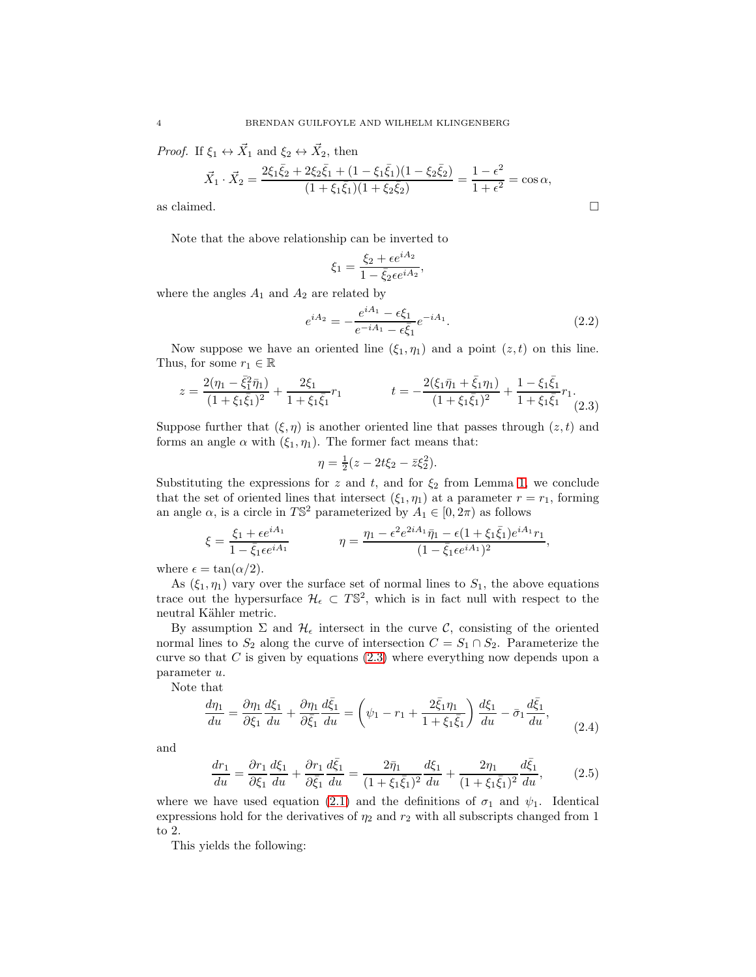*Proof.* If  $\xi_1 \leftrightarrow \vec{X}_1$  and  $\xi_2 \leftrightarrow \vec{X}_2$ , then

$$
\vec{X}_1 \cdot \vec{X}_2 = \frac{2\xi_1 \bar{\xi}_2 + 2\xi_2 \bar{\xi}_1 + (1 - \xi_1 \bar{\xi}_1)(1 - \xi_2 \bar{\xi}_2)}{(1 + \xi_1 \bar{\xi}_1)(1 + \xi_2 \bar{\xi}_2)} = \frac{1 - \epsilon^2}{1 + \epsilon^2} = \cos \alpha,
$$
 as claimed.

Note that the above relationship can be inverted to

$$
\xi_1 = \frac{\xi_2 + \epsilon e^{iA_2}}{1 - \bar{\xi}_2 \epsilon e^{iA_2}},
$$

where the angles  $A_1$  and  $A_2$  are related by

<span id="page-4-3"></span>
$$
e^{iA_2} = -\frac{e^{iA_1} - \epsilon \xi_1}{e^{-iA_1} - \epsilon \bar{\xi}_1} e^{-iA_1}.
$$
 (2.2)

Now suppose we have an oriented line  $(\xi_1, \eta_1)$  and a point  $(z, t)$  on this line. Thus, for some  $r_1 \in \mathbb{R}$ 

<span id="page-4-0"></span>
$$
z = \frac{2(\eta_1 - \bar{\xi}_1^2 \bar{\eta}_1)}{(1 + \xi_1 \bar{\xi}_1)^2} + \frac{2\xi_1}{1 + \xi_1 \bar{\xi}_1} r_1
$$
  

$$
t = -\frac{2(\xi_1 \bar{\eta}_1 + \bar{\xi}_1 \eta_1)}{(1 + \xi_1 \bar{\xi}_1)^2} + \frac{1 - \xi_1 \bar{\xi}_1}{1 + \xi_1 \bar{\xi}_1} r_1.
$$
  
(2.3)

Suppose further that  $(\xi, \eta)$  is another oriented line that passes through  $(z, t)$  and forms an angle  $\alpha$  with  $(\xi_1, \eta_1)$ . The former fact means that:

$$
\eta = \frac{1}{2}(z - 2t\xi_2 - \bar{z}\xi_2^2).
$$

Substituting the expressions for z and t, and for  $\xi_2$  from Lemma [1,](#page-3-0) we conclude that the set of oriented lines that intersect  $(\xi_1, \eta_1)$  at a parameter  $r = r_1$ , forming an angle  $\alpha$ , is a circle in TS<sup>2</sup> parameterized by  $A_1 \in [0, 2\pi)$  as follows

$$
\xi = \frac{\xi_1 + \epsilon e^{iA_1}}{1 - \bar{\xi}_1 \epsilon e^{iA_1}} \qquad \eta = \frac{\eta_1 - \epsilon^2 e^{2iA_1} \bar{\eta}_1 - \epsilon (1 + \xi_1 \bar{\xi}_1) e^{iA_1} r_1}{(1 - \bar{\xi}_1 \epsilon e^{iA_1})^2},
$$

where  $\epsilon = \tan(\alpha/2)$ .

As  $(\xi_1, \eta_1)$  vary over the surface set of normal lines to  $S_1$ , the above equations trace out the hypersurface  $\mathcal{H}_{\epsilon} \subset T\mathbb{S}^2$ , which is in fact null with respect to the neutral Kähler metric.

By assumption  $\Sigma$  and  $\mathcal{H}_{\epsilon}$  intersect in the curve C, consisting of the oriented normal lines to  $S_2$  along the curve of intersection  $C = S_1 \cap S_2$ . Parameterize the curve so that  $C$  is given by equations  $(2.3)$  where everything now depends upon a parameter u.

Note that

<span id="page-4-2"></span>
$$
\frac{d\eta_1}{du} = \frac{\partial \eta_1}{\partial \xi_1} \frac{d\xi_1}{du} + \frac{\partial \eta_1}{\partial \bar{\xi}_1} \frac{d\bar{\xi}_1}{du} = \left(\psi_1 - r_1 + \frac{2\bar{\xi}_1 \eta_1}{1 + \xi_1 \bar{\xi}_1}\right) \frac{d\xi_1}{du} - \bar{\sigma}_1 \frac{d\bar{\xi}_1}{du},\tag{2.4}
$$

and

<span id="page-4-1"></span>
$$
\frac{dr_1}{du} = \frac{\partial r_1}{\partial \xi_1} \frac{d\xi_1}{du} + \frac{\partial r_1}{\partial \bar{\xi}_1} \frac{d\bar{\xi}_1}{du} = \frac{2\bar{\eta}_1}{(1 + \xi_1 \bar{\xi}_1)^2} \frac{d\xi_1}{du} + \frac{2\eta_1}{(1 + \xi_1 \bar{\xi}_1)^2} \frac{d\bar{\xi}_1}{du},\tag{2.5}
$$

where we have used equation [\(2.1\)](#page-3-1) and the definitions of  $\sigma_1$  and  $\psi_1$ . Identical expressions hold for the derivatives of  $\eta_2$  and  $r_2$  with all subscripts changed from 1 to 2.

This yields the following: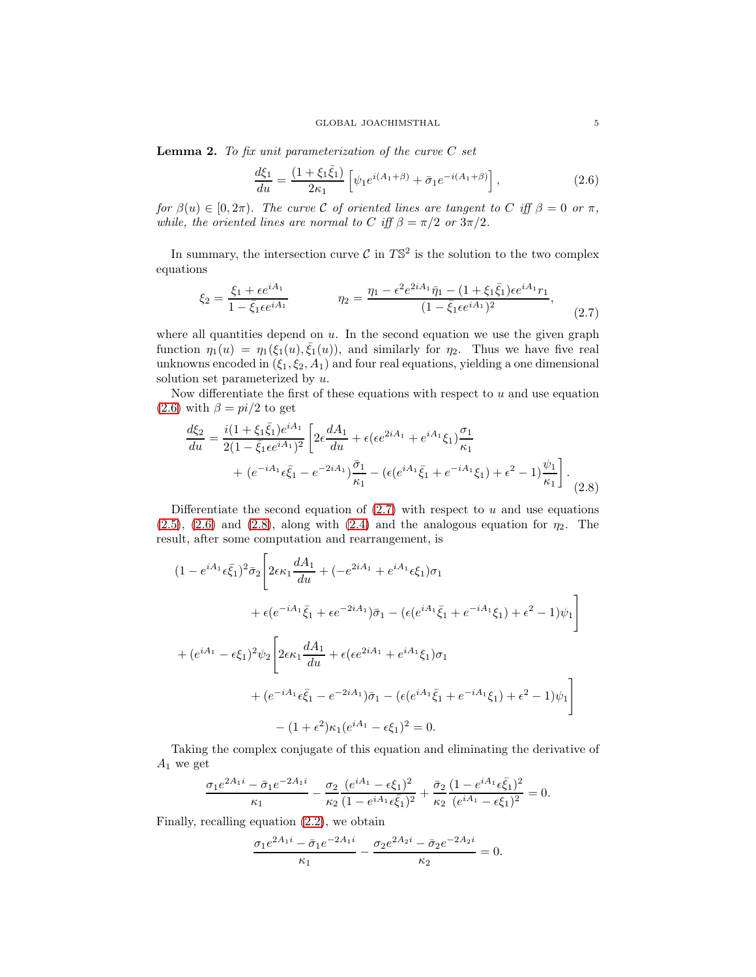**Lemma 2.** To fix unit parameterization of the curve  $C$  set

<span id="page-5-0"></span>
$$
\frac{d\xi_1}{du} = \frac{(1 + \xi_1 \bar{\xi}_1)}{2\kappa_1} \left[ \psi_1 e^{i(A_1 + \beta)} + \bar{\sigma}_1 e^{-i(A_1 + \beta)} \right],\tag{2.6}
$$

for  $\beta(u) \in [0, 2\pi)$ . The curve C of oriented lines are tangent to C iff  $\beta = 0$  or  $\pi$ , while, the oriented lines are normal to C iff  $\beta = \pi/2$  or  $3\pi/2$ .

In summary, the intersection curve  $\mathcal C$  in  $T\mathbb S^2$  is the solution to the two complex equations

<span id="page-5-1"></span>
$$
\xi_2 = \frac{\xi_1 + \epsilon e^{iA_1}}{1 - \bar{\xi}_1 \epsilon e^{iA_1}} \qquad \eta_2 = \frac{\eta_1 - \epsilon^2 e^{2iA_1} \bar{\eta}_1 - (1 + \xi_1 \bar{\xi}_1) \epsilon e^{iA_1} r_1}{(1 - \bar{\xi}_1 \epsilon e^{iA_1})^2},
$$
(2.7)

where all quantities depend on  $u$ . In the second equation we use the given graph function  $\eta_1(u) = \eta_1(\xi_1(u), \bar{\xi}_1(u))$ , and similarly for  $\eta_2$ . Thus we have five real unknowns encoded in  $(\xi_1, \xi_2, A_1)$  and four real equations, yielding a one dimensional solution set parameterized by  $u$ .

Now differentiate the first of these equations with respect to  $u$  and use equation [\(2.6\)](#page-5-0) with  $\beta = pi/2$  to get

$$
\frac{d\xi_2}{du} = \frac{i(1+\xi_1\bar{\xi}_1)e^{iA_1}}{2(1-\bar{\xi}_1\epsilon e^{iA_1})^2} \left[2\epsilon \frac{dA_1}{du} + \epsilon(\epsilon e^{2iA_1} + e^{iA_1}\xi_1)\frac{\sigma_1}{\kappa_1} + (e^{-iA_1}\epsilon \bar{\xi}_1 - e^{-2iA_1})\frac{\bar{\sigma}_1}{\kappa_1} - (\epsilon(e^{iA_1}\bar{\xi}_1 + e^{-iA_1}\xi_1) + \epsilon^2 - 1)\frac{\psi_1}{\kappa_1}\right].
$$
\n(2.8)

Differentiate the second equation of  $(2.7)$  with respect to u and use equations  $(2.5)$ ,  $(2.6)$  and  $(2.8)$ , along with  $(2.4)$  and the analogous equation for  $\eta_2$ . The result, after some computation and rearrangement, is

$$
(1 - e^{iA_1} \epsilon \bar{\xi}_1)^2 \bar{\sigma}_2 \left[ 2\epsilon \kappa_1 \frac{dA_1}{du} + (-e^{2iA_1} + e^{iA_1} \epsilon \xi_1) \sigma_1 \right.+ \epsilon (e^{-iA_1} \bar{\xi}_1 + \epsilon e^{-2iA_1}) \bar{\sigma}_1 - (\epsilon (e^{iA_1} \bar{\xi}_1 + e^{-iA_1} \xi_1) + \epsilon^2 - 1) \psi_1 \right] + (e^{iA_1} - \epsilon \xi_1)^2 \psi_2 \left[ 2\epsilon \kappa_1 \frac{dA_1}{du} + \epsilon (\epsilon e^{2iA_1} + e^{iA_1} \xi_1) \sigma_1 \right.+ (e^{-iA_1} \epsilon \bar{\xi}_1 - e^{-2iA_1}) \bar{\sigma}_1 - (\epsilon (e^{iA_1} \bar{\xi}_1 + e^{-iA_1} \xi_1) + \epsilon^2 - 1) \psi_1 \right] - (1 + \epsilon^2) \kappa_1 (e^{iA_1} - \epsilon \xi_1)^2 = 0.
$$

Taking the complex conjugate of this equation and eliminating the derivative of  $A_1$  we get

$$
\frac{\sigma_1 e^{2A_1 i} - \bar{\sigma}_1 e^{-2A_1 i}}{\kappa_1} - \frac{\sigma_2}{\kappa_2} \frac{(e^{iA_1} - \epsilon \xi_1)^2}{(1 - e^{iA_1} \epsilon \bar{\xi}_1)^2} + \frac{\bar{\sigma}_2}{\kappa_2} \frac{(1 - e^{iA_1} \epsilon \bar{\xi}_1)^2}{(e^{iA_1} - \epsilon \xi_1)^2} = 0.
$$

Finally, recalling equation [\(2.2\)](#page-4-3), we obtain

$$
\frac{\sigma_1 e^{2A_1 i} - \bar{\sigma}_1 e^{-2A_1 i}}{\kappa_1} - \frac{\sigma_2 e^{2A_2 i} - \bar{\sigma}_2 e^{-2A_2 i}}{\kappa_2} = 0.
$$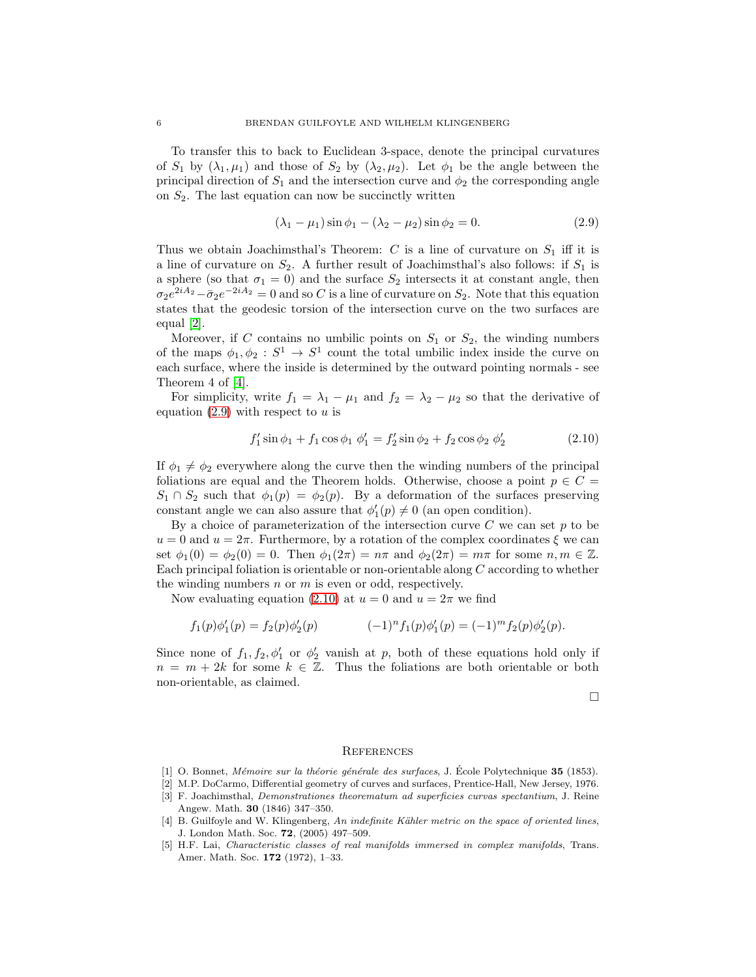To transfer this to back to Euclidean 3-space, denote the principal curvatures of  $S_1$  by  $(\lambda_1, \mu_1)$  and those of  $S_2$  by  $(\lambda_2, \mu_2)$ . Let  $\phi_1$  be the angle between the principal direction of  $S_1$  and the intersection curve and  $\phi_2$  the corresponding angle on  $S_2$ . The last equation can now be succinctly written

<span id="page-6-2"></span>
$$
(\lambda_1 - \mu_1)\sin\phi_1 - (\lambda_2 - \mu_2)\sin\phi_2 = 0.
$$
 (2.9)

Thus we obtain Joachimsthal's Theorem: C is a line of curvature on  $S_1$  iff it is a line of curvature on  $S_2$ . A further result of Joachimsthal's also follows: if  $S_1$  is a sphere (so that  $\sigma_1 = 0$ ) and the surface  $S_2$  intersects it at constant angle, then  $\sigma_2 e^{2iA_2} - \bar{\sigma}_2 e^{-2iA_2} = 0$  and so C is a line of curvature on  $S_2$ . Note that this equation states that the geodesic torsion of the intersection curve on the two surfaces are equal [\[2\]](#page-6-5).

Moreover, if C contains no umbilic points on  $S_1$  or  $S_2$ , the winding numbers of the maps  $\phi_1, \phi_2 : S^1 \to S^1$  count the total umbilic index inside the curve on each surface, where the inside is determined by the outward pointing normals - see Theorem 4 of [\[4\]](#page-6-4).

For simplicity, write  $f_1 = \lambda_1 - \mu_1$  and  $f_2 = \lambda_2 - \mu_2$  so that the derivative of equation  $(2.9)$  with respect to u is

<span id="page-6-6"></span>
$$
f'_1 \sin \phi_1 + f_1 \cos \phi_1 \phi'_1 = f'_2 \sin \phi_2 + f_2 \cos \phi_2 \phi'_2 \tag{2.10}
$$

If  $\phi_1 \neq \phi_2$  everywhere along the curve then the winding numbers of the principal foliations are equal and the Theorem holds. Otherwise, choose a point  $p \in C$  =  $S_1 \cap S_2$  such that  $\phi_1(p) = \phi_2(p)$ . By a deformation of the surfaces preserving constant angle we can also assure that  $\phi'_1(p) \neq 0$  (an open condition).

By a choice of parameterization of the intersection curve  $C$  we can set  $p$  to be  $u = 0$  and  $u = 2\pi$ . Furthermore, by a rotation of the complex coordinates  $\xi$  we can set  $\phi_1(0) = \phi_2(0) = 0$ . Then  $\phi_1(2\pi) = n\pi$  and  $\phi_2(2\pi) = m\pi$  for some  $n, m \in \mathbb{Z}$ . Each principal foliation is orientable or non-orientable along  $C$  according to whether the winding numbers  $n$  or  $m$  is even or odd, respectively.

Now evaluating equation [\(2.10\)](#page-6-6) at  $u = 0$  and  $u = 2\pi$  we find

$$
f_1(p)\phi'_1(p) = f_2(p)\phi'_2(p) \qquad (-1)^n f_1(p)\phi'_1(p) = (-1)^m f_2(p)\phi'_2(p).
$$

Since none of  $f_1, f_2, \phi'_1$  or  $\phi'_2$  vanish at p, both of these equations hold only if  $n = m + 2k$  for some  $k \in \mathbb{Z}$ . Thus the foliations are both orientable or both non-orientable, as claimed.

 $\Box$ 

#### **REFERENCES**

- <span id="page-6-5"></span><span id="page-6-1"></span>[1] O. Bonnet, Mémoire sur la théorie générale des surfaces, J. École Polytechnique 35 (1853).
- <span id="page-6-0"></span>[2] M.P. DoCarmo, Differential geometry of curves and surfaces, Prentice-Hall, New Jersey, 1976.
- [3] F. Joachimsthal, Demonstrationes theorematum ad superficies curvas spectantium, J. Reine Angew. Math. 30 (1846) 347–350.
- <span id="page-6-4"></span>[4] B. Guilfoyle and W. Klingenberg, An indefinite Kähler metric on the space of oriented lines, J. London Math. Soc. 72, (2005) 497–509.
- <span id="page-6-3"></span>[5] H.F. Lai, Characteristic classes of real manifolds immersed in complex manifolds, Trans. Amer. Math. Soc. 172 (1972), 1–33.